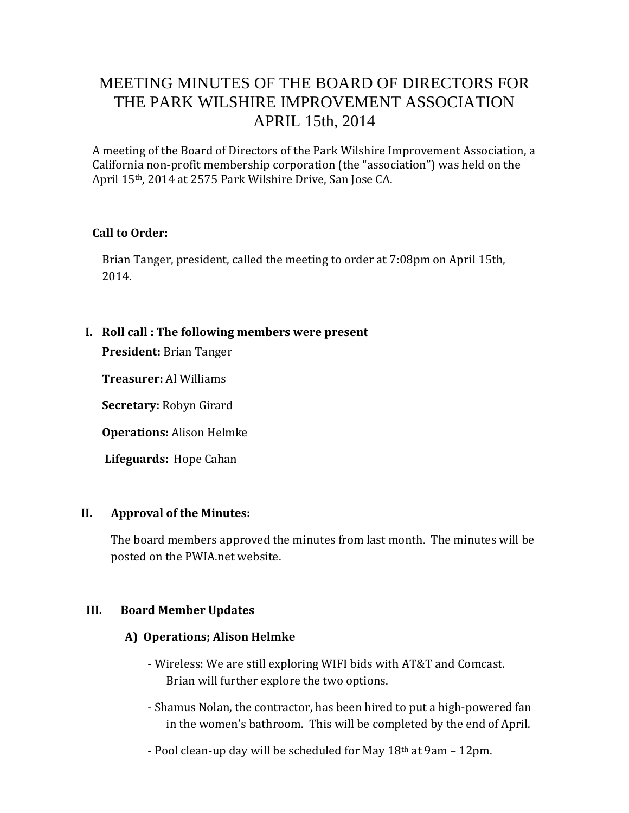# MEETING MINUTES OF THE BOARD OF DIRECTORS FOR THE PARK WILSHIRE IMPROVEMENT ASSOCIATION APRIL 15th, 2014

A meeting of the Board of Directors of the Park Wilshire Improvement Association, a California non-profit membership corporation (the "association") was held on the April 15th, 2014 at 2575 Park Wilshire Drive, San Jose CA.

#### **Call to Order:**

Brian Tanger, president, called the meeting to order at 7:08pm on April 15th, 2014.

### **I. Roll call : The following members were present**

**President:** Brian Tanger

**Treasurer:** Al Williams

**Secretary:** Robyn Girard

**Operations:** Alison Helmke

**Lifeguards:** Hope Cahan

#### **II. Approval of the Minutes:**

The board members approved the minutes from last month. The minutes will be posted on the PWIA.net website.

#### **III. Board Member Updates**

#### **A) Operations; Alison Helmke**

- Wireless: We are still exploring WIFI bids with AT&T and Comcast. Brian will further explore the two options.
- Shamus Nolan, the contractor, has been hired to put a high-powered fan in the women's bathroom. This will be completed by the end of April.
- Pool clean-up day will be scheduled for May 18th at 9am 12pm.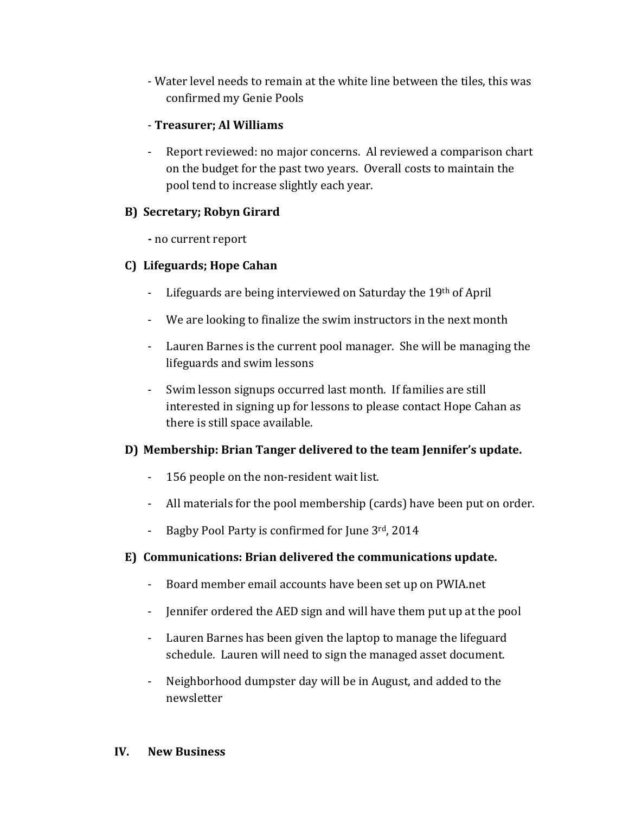- Water level needs to remain at the white line between the tiles, this was confirmed my Genie Pools

## - **Treasurer; Al Williams**

Report reviewed: no major concerns. Al reviewed a comparison chart on the budget for the past two years. Overall costs to maintain the pool tend to increase slightly each year.

## **B) Secretary; Robyn Girard**

**-** no current report

## **C) Lifeguards; Hope Cahan**

- Lifeguards are being interviewed on Saturday the 19th of April
- We are looking to finalize the swim instructors in the next month
- Lauren Barnes is the current pool manager. She will be managing the lifeguards and swim lessons
- Swim lesson signups occurred last month. If families are still interested in signing up for lessons to please contact Hope Cahan as there is still space available.

## **D) Membership: Brian Tanger delivered to the team Jennifer's update.**

- 156 people on the non-resident wait list.
- All materials for the pool membership (cards) have been put on order.
- Bagby Pool Party is confirmed for June 3rd, 2014

### **E) Communications: Brian delivered the communications update.**

- Board member email accounts have been set up on PWIA.net
- Jennifer ordered the AED sign and will have them put up at the pool
- Lauren Barnes has been given the laptop to manage the lifeguard schedule. Lauren will need to sign the managed asset document.
- Neighborhood dumpster day will be in August, and added to the newsletter